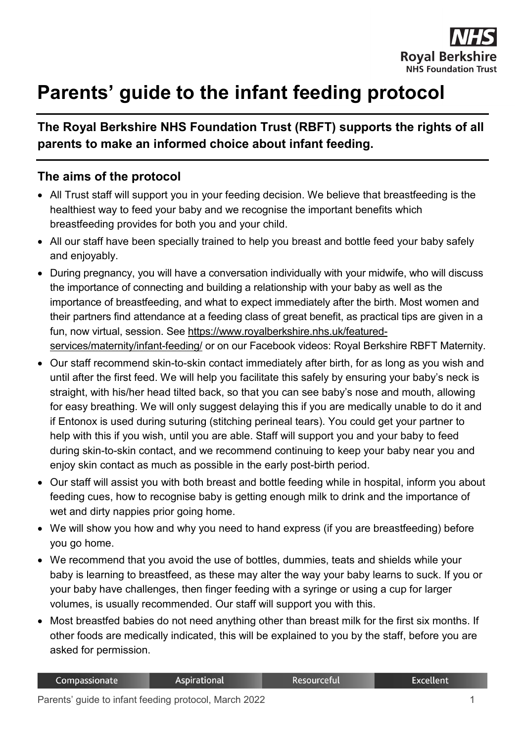

## **Parents' guide to the infant feeding protocol**

## **The Royal Berkshire NHS Foundation Trust (RBFT) supports the rights of all parents to make an informed choice about infant feeding.**

## **The aims of the protocol**

- All Trust staff will support you in your feeding decision. We believe that breastfeeding is the healthiest way to feed your baby and we recognise the important benefits which breastfeeding provides for both you and your child.
- All our staff have been specially trained to help you breast and bottle feed your baby safely and enjoyably.
- During pregnancy, you will have a conversation individually with your midwife, who will discuss the importance of connecting and building a relationship with your baby as well as the importance of breastfeeding, and what to expect immediately after the birth. Most women and their partners find attendance at a feeding class of great benefit, as practical tips are given in a fun, now virtual, session. See https://www.royalberkshire.nhs.uk/featuredservices/maternity/infant-feeding/ or on our Facebook videos: Royal Berkshire RBFT Maternity.
- Our staff recommend skin-to-skin contact immediately after birth, for as long as you wish and until after the first feed. We will help you facilitate this safely by ensuring your baby's neck is straight, with his/her head tilted back, so that you can see baby's nose and mouth, allowing for easy breathing. We will only suggest delaying this if you are medically unable to do it and if Entonox is used during suturing (stitching perineal tears). You could get your partner to help with this if you wish, until you are able. Staff will support you and your baby to feed during skin-to-skin contact, and we recommend continuing to keep your baby near you and enjoy skin contact as much as possible in the early post-birth period.
- Our staff will assist you with both breast and bottle feeding while in hospital, inform you about feeding cues, how to recognise baby is getting enough milk to drink and the importance of wet and dirty nappies prior going home.
- We will show you how and why you need to hand express (if you are breastfeeding) before you go home.
- We recommend that you avoid the use of bottles, dummies, teats and shields while your baby is learning to breastfeed, as these may alter the way your baby learns to suck. If you or your baby have challenges, then finger feeding with a syringe or using a cup for larger volumes, is usually recommended. Our staff will support you with this.
- Most breastfed babies do not need anything other than breast milk for the first six months. If other foods are medically indicated, this will be explained to you by the staff, before you are asked for permission.